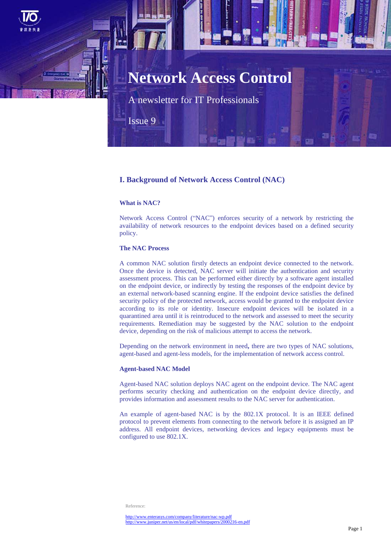

A newsletter for IT Professionals

Issue 9

# **I. Background of Network Access Control (NAC)**

### **What is NAC?**

Network Access Control ("NAC") enforces security of a network by restricting the availability of network resources to the endpoint devices based on a defined security policy.

## **The NAC Process**

A common NAC solution firstly detects an endpoint device connected to the network. Once the device is detected, NAC server will initiate the authentication and security assessment process. This can be performed either directly by a software agent installed on the endpoint device, or indirectly by testing the responses of the endpoint device by an external network-based scanning engine. If the endpoint device satisfies the defined security policy of the protected network, access would be granted to the endpoint device according to its role or identity. Insecure endpoint devices will be isolated in a quarantined area until it is reintroduced to the network and assessed to meet the security requirements. Remediation may be suggested by the NAC solution to the endpoint device, depending on the risk of malicious attempt to access the network.

Depending on the network environment in need**,** there are two types of NAC solutions, agent-based and agent-less models, for the implementation of network access control.

### **Agent-based NAC Model**

Agent-based NAC solution deploys NAC agent on the endpoint device. The NAC agent performs security checking and authentication on the endpoint device directly, and provides information and assessment results to the NAC server for authentication.

An example of agent-based NAC is by the 802.1X protocol. It is an IEEE defined protocol to prevent elements from connecting to the network before it is assigned an IP address. All endpoint devices, networking devices and legacy equipments must be configured to use 802.1X.

Reference: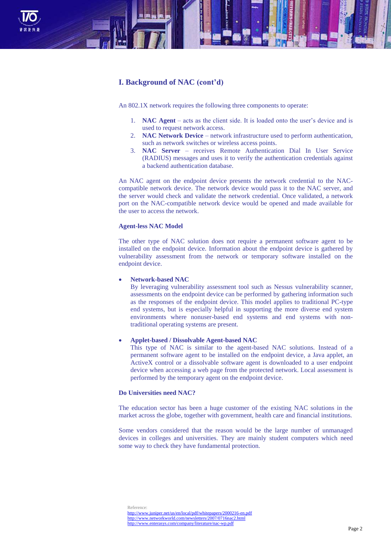

# **I. Background of NAC (cont'd)**

An 802.1X network requires the following three components to operate:

- 1. **NAC Agent** acts as the client side. It is loaded onto the user's device and is used to request network access.
- 2. **NAC Network Device**  network infrastructure used to perform authentication, such as network switches or wireless access points.
- 3. **NAC Server**  receives Remote Authentication Dial In User Service (RADIUS) messages and uses it to verify the authentication credentials against a backend authentication database.

An NAC agent on the endpoint device presents the network credential to the NACcompatible network device. The network device would pass it to the NAC server, and the server would check and validate the network credential. Once validated, a network port on the NAC-compatible network device would be opened and made available for the user to access the network.

### **Agent-less NAC Model**

The other type of NAC solution does not require a permanent software agent to be installed on the endpoint device. Information about the endpoint device is gathered by vulnerability assessment from the network or temporary software installed on the endpoint device.

### **Network-based NAC**

By leveraging vulnerability assessment tool such as Nessus vulnerability scanner, assessments on the endpoint device can be performed by gathering information such as the responses of the endpoint device. This model applies to traditional PC-type end systems, but is especially helpful in supporting the more diverse end system environments where nonuser-based end systems and end systems with nontraditional operating systems are present.

### **Applet-based / Dissolvable Agent-based NAC**

This type of NAC is similar to the agent-based NAC solutions. Instead of a permanent software agent to be installed on the endpoint device, a Java applet, an ActiveX control or a dissolvable software agent is downloaded to a user endpoint device when accessing a web page from the protected network. Local assessment is performed by the temporary agent on the endpoint device.

### **Do Universities need NAC?**

The education sector has been a huge customer of the existing NAC solutions in the market across the globe, together with government, health care and financial institutions.

Some vendors considered that the reason would be the large number of unmanaged devices in colleges and universities. They are mainly student computers which need some way to check they have fundamental protection.

Reference: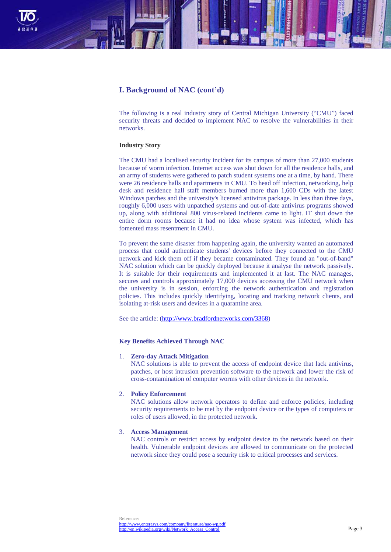

# **I. Background of NAC (cont'd)**

The following is a real industry story of Central Michigan University ("CMU") faced security threats and decided to implement NAC to resolve the vulnerabilities in their networks.

### **Industry Story**

The CMU had a localised security incident for its campus of more than 27,000 students because of worm infection. Internet access was shut down for all the residence halls, and an army of students were gathered to patch student systems one at a time, by hand. There were 26 residence halls and apartments in CMU. To head off infection, networking, help desk and residence hall staff members burned more than 1,600 CDs with the latest Windows patches and the university's licensed antivirus package. In less than three days, roughly 6,000 users with unpatched systems and out-of-date antivirus programs showed up, along with additional 800 virus-related incidents came to light. IT shut down the entire dorm rooms because it had no idea whose system was infected, which has fomented mass resentment in CMU.

To prevent the same disaster from happening again, the university wanted an automated process that could authenticate students' devices before they connected to the CMU network and kick them off if they became contaminated. They found an "out-of-band" NAC solution which can be quickly deployed because it analyse the network passively. It is suitable for their requirements and implemented it at last. The NAC manages, secures and controls approximately 17,000 devices accessing the CMU network when the university is in session, enforcing the network authentication and registration policies. This includes quickly identifying, locating and tracking network clients, and isolating at-risk users and devices in a quarantine area.

See the article: [\(http://www.bradfordnetworks.com/3368\)](http://www.bradfordnetworks.com/3368)

### **Key Benefits Achieved Through NAC**

### 1. **Zero-day Attack Mitigation**

NAC solutions is able to prevent the access of endpoint device that lack antivirus, patches, or host intrusion prevention software to the network and lower the risk of cross-contamination of computer worms with other devices in the network.

### 2. **Policy Enforcement**

NAC solutions allow network operators to define and enforce policies, including security requirements to be met by the endpoint device or the types of computers or roles of users allowed, in the protected network.

#### 3. **Access Management**

NAC controls or restrict access by endpoint device to the network based on their health. Vulnerable endpoint devices are allowed to communicate on the protected network since they could pose a security risk to critical processes and services.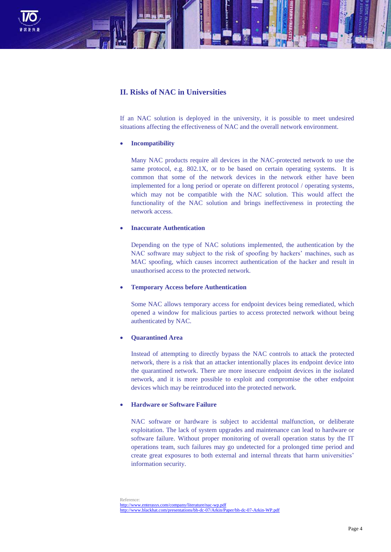

# **II. Risks of NAC in Universities**

If an NAC solution is deployed in the university, it is possible to meet undesired situations affecting the effectiveness of NAC and the overall network environment.

### **Incompatibility**

Many NAC products require all devices in the NAC-protected network to use the same protocol, e.g. 802.1X, or to be based on certain operating systems. It is common that some of the network devices in the network either have been implemented for a long period or operate on different protocol / operating systems, which may not be compatible with the NAC solution. This would affect the functionality of the NAC solution and brings ineffectiveness in protecting the network access.

### **Inaccurate Authentication**

Depending on the type of NAC solutions implemented, the authentication by the NAC software may subject to the risk of spoofing by hackers' machines, such as MAC spoofing, which causes incorrect authentication of the hacker and result in unauthorised access to the protected network.

### **Temporary Access before Authentication**

Some NAC allows temporary access for endpoint devices being remediated, which opened a window for malicious parties to access protected network without being authenticated by NAC.

## **Quarantined Area**

Instead of attempting to directly bypass the NAC controls to attack the protected network, there is a risk that an attacker intentionally places its endpoint device into the quarantined network. There are more insecure endpoint devices in the isolated network, and it is more possible to exploit and compromise the other endpoint devices which may be reintroduced into the protected network.

# **Hardware or Software Failure**

NAC software or hardware is subject to accidental malfunction, or deliberate exploitation. The lack of system upgrades and maintenance can lead to hardware or software failure. Without proper monitoring of overall operation status by the IT operations team, such failures may go undetected for a prolonged time period and create great exposures to both external and internal threats that harm universities' information security.

Reference: <http://www.enterasys.com/company/literature/nac-wp.pdf> <http://www.blackhat.com/presentations/bh-dc-07/Arkin/Paper/bh-dc-07-Arkin-WP.pdf>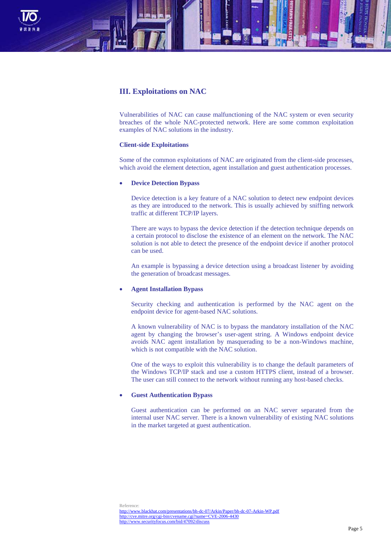

# **III. Exploitations on NAC**

Vulnerabilities of NAC can cause malfunctioning of the NAC system or even security breaches of the whole NAC-protected network. Here are some common exploitation examples of NAC solutions in the industry.

### **Client-side Exploitations**

Some of the common exploitations of NAC are originated from the client-side processes, which avoid the element detection, agent installation and guest authentication processes.

## **Device Detection Bypass**

Device detection is a key feature of a NAC solution to detect new endpoint devices as they are introduced to the network. This is usually achieved by sniffing network traffic at different TCP/IP layers.

There are ways to bypass the device detection if the detection technique depends on a certain protocol to disclose the existence of an element on the network. The NAC solution is not able to detect the presence of the endpoint device if another protocol can be used.

An example is bypassing a device detection using a broadcast listener by avoiding the generation of broadcast messages.

## **Agent Installation Bypass**

Security checking and authentication is performed by the NAC agent on the endpoint device for agent-based NAC solutions.

A known vulnerability of NAC is to bypass the mandatory installation of the NAC agent by changing the browser's user-agent string. A Windows endpoint device avoids NAC agent installation by masquerading to be a non-Windows machine, which is not compatible with the NAC solution.

One of the ways to exploit this vulnerability is to change the default parameters of the Windows TCP/IP stack and use a custom HTTPS client, instead of a browser. The user can still connect to the network without running any host-based checks.

### **Guest Authentication Bypass**

Guest authentication can be performed on an NAC server separated from the internal user NAC server. There is a known vulnerability of existing NAC solutions in the market targeted at guest authentication.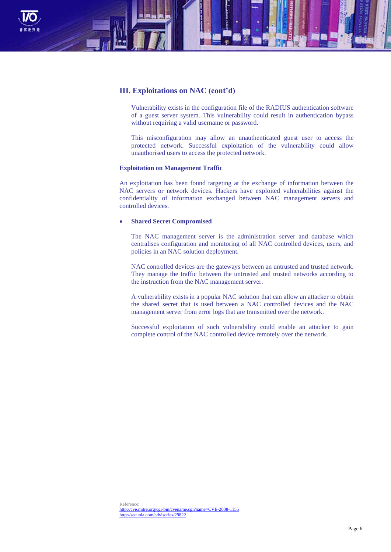

# **III. Exploitations on NAC (cont'd)**

Vulnerability exists in the configuration file of the RADIUS authentication software of a guest server system. This vulnerability could result in authentication bypass without requiring a valid username or password.

This misconfiguration may allow an unauthenticated guest user to access the protected network. Successful exploitation of the vulnerability could allow unauthorised users to access the protected network.

### **Exploitation on Management Traffic**

An exploitation has been found targeting at the exchange of information between the NAC servers or network devices. Hackers have exploited vulnerabilities against the confidentiality of information exchanged between NAC management servers and controlled devices.

### **Shared Secret Compromised**

The NAC management server is the administration server and database which centralises configuration and monitoring of all NAC controlled devices, users, and policies in an NAC solution deployment.

NAC controlled devices are the gateways between an untrusted and trusted network. They manage the traffic between the untrusted and trusted networks according to the instruction from the NAC management server.

A vulnerability exists in a popular NAC solution that can allow an attacker to obtain the shared secret that is used between a NAC controlled devices and the NAC management server from error logs that are transmitted over the network.

Successful exploitation of such vulnerability could enable an attacker to gain complete control of the NAC controlled device remotely over the network.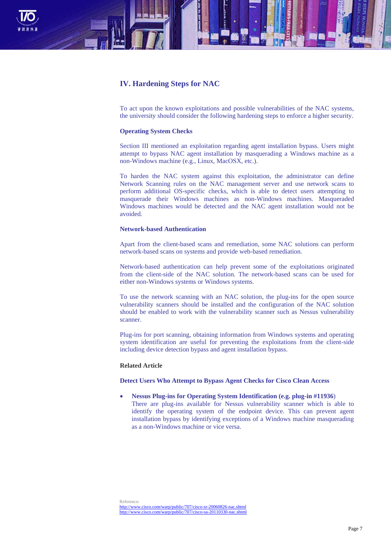

# **IV. Hardening Steps for NAC**

To act upon the known exploitations and possible vulnerabilities of the NAC systems, the university should consider the following hardening steps to enforce a higher security.

#### **Operating System Checks**

Section III mentioned an exploitation regarding agent installation bypass. Users might attempt to bypass NAC agent installation by masquerading a Windows machine as a non-Windows machine (e.g., Linux, MacOSX, etc.).

To harden the NAC system against this exploitation, the administrator can define Network Scanning rules on the NAC management server and use network scans to perform additional OS-specific checks, which is able to detect users attempting to masquerade their Windows machines as non-Windows machines. Masqueraded Windows machines would be detected and the NAC agent installation would not be avoided.

## **Network-based Authentication**

Apart from the client-based scans and remediation, some NAC solutions can perform network-based scans on systems and provide web-based remediation.

Network-based authentication can help prevent some of the exploitations originated from the client-side of the NAC solution. The network-based scans can be used for either non-Windows systems or Windows systems.

To use the network scanning with an NAC solution, the plug-ins for the open source vulnerability scanners should be installed and the configuration of the NAC solution should be enabled to work with the vulnerability scanner such as Nessus vulnerability scanner.

Plug-ins for port scanning, obtaining information from Windows systems and operating system identification are useful for preventing the exploitations from the client-side including device detection bypass and agent installation bypass.

#### **Related Article**

### **Detect Users Who Attempt to Bypass Agent Checks for Cisco Clean Access**

 **Nessus Plug-ins for Operating System Identification (e.g. plug-in #11936**) There are plug-ins available for Nessus vulnerability scanner which is able to identify the operating system of the endpoint device. This can prevent agent installation bypass by identifying exceptions of a Windows machine masquerading as a non-Windows machine or vice versa.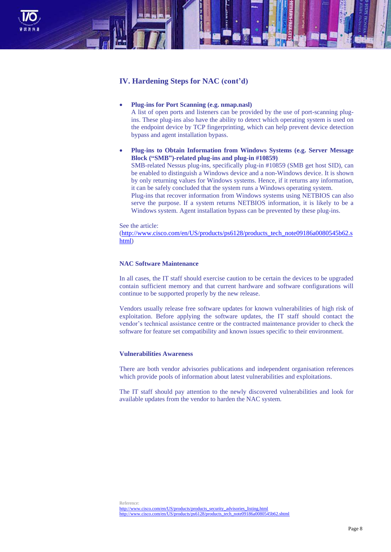

# **IV. Hardening Steps for NAC (cont'd)**

## **Plug-ins for Port Scanning (e.g. nmap.nasl)**

A list of open ports and listeners can be provided by the use of port-scanning plugins. These plug-ins also have the ability to detect which operating system is used on the endpoint device by TCP fingerprinting, which can help prevent device detection bypass and agent installation bypass.

 **Plug-ins to Obtain Information from Windows Systems (e.g. Server Message Block ("SMB")-related plug-ins and plug-in #10859)** SMB-related Nessus plug-ins, specifically plug-in #10859 (SMB get host SID), can be enabled to distinguish a Windows device and a non-Windows device. It is shown by only returning values for Windows systems. Hence, if it returns any information, it can be safely concluded that the system runs a Windows operating system. Plug-ins that recover information from Windows systems using NETBIOS can also serve the purpose. If a system returns NETBIOS information, it is likely to be a Windows system. Agent installation bypass can be prevented by these plug-ins.

See the article:

[\(http://www.cisco.com/en/US/products/ps6128/products\\_tech\\_note09186a0080545b62.s](http://www.cisco.com/en/US/products/ps6128/products_tech_note09186a0080545b62.shtml) [html\)](http://www.cisco.com/en/US/products/ps6128/products_tech_note09186a0080545b62.shtml)

## **NAC Software Maintenance**

In all cases, the IT staff should exercise caution to be certain the devices to be upgraded contain sufficient memory and that current hardware and software configurations will continue to be supported properly by the new release.

Vendors usually release free software updates for known vulnerabilities of high risk of exploitation. Before applying the software updates, the IT staff should contact the vendor's technical assistance centre or the contracted maintenance provider to check the software for feature set compatibility and known issues specific to their environment.

## **Vulnerabilities Awareness**

There are both vendor advisories publications and independent organisation references which provide pools of information about latest vulnerabilities and exploitations.

The IT staff should pay attention to the newly discovered vulnerabilities and look for available updates from the vendor to harden the NAC system.